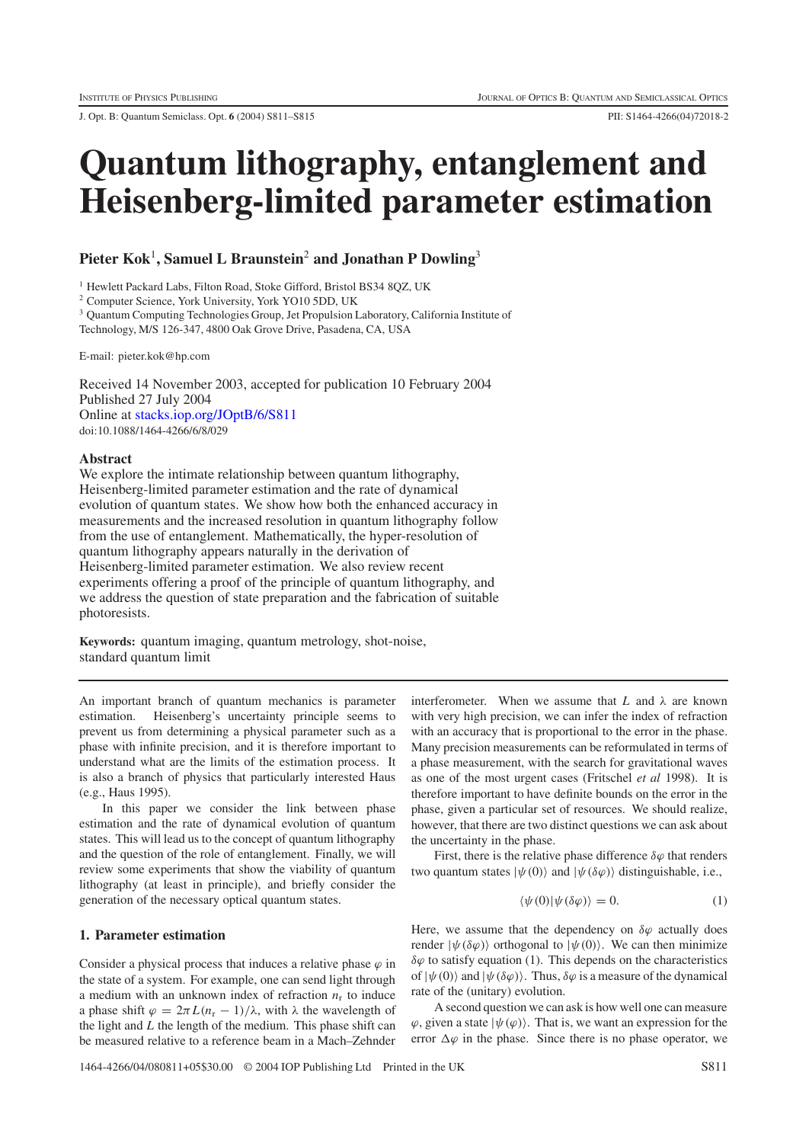J. Opt. B: Quantum Semiclass. Opt. **6** (2004) S811–S815 PII: S1464-4266(04)72018-2

# **Quantum lithography, entanglement and Heisenberg-limited parameter estimation**

# **Pieter Kok**<sup>1</sup>**, Samuel L Braunstein**<sup>2</sup> **and Jonathan P Dowling**<sup>3</sup>

<sup>1</sup> Hewlett Packard Labs, Filton Road, Stoke Gifford, Bristol BS34 8QZ, UK

<sup>2</sup> Computer Science, York University, York YO10 5DD, UK

<sup>3</sup> Quantum Computing Technologies Group, Jet Propulsion Laboratory, California Institute of

Technology, M/S 126-347, 4800 Oak Grove Drive, Pasadena, CA, USA

E-mail: pieter.kok@hp.com

Received 14 November 2003, accepted for publication 10 February 2004 Published 27 July 2004 Online at [stacks.iop.org/JOptB/6/S811](http://stacks.iop.org/JOptB/6/S811) doi:10.1088/1464-4266/6/8/029

#### **Abstract**

We explore the intimate relationship between quantum lithography, Heisenberg-limited parameter estimation and the rate of dynamical evolution of quantum states. We show how both the enhanced accuracy in measurements and the increased resolution in quantum lithography follow from the use of entanglement. Mathematically, the hyper-resolution of quantum lithography appears naturally in the derivation of Heisenberg-limited parameter estimation. We also review recent experiments offering a proof of the principle of quantum lithography, and we address the question of state preparation and the fabrication of suitable photoresists.

**Keywords:** quantum imaging, quantum metrology, shot-noise, standard quantum limit

An important branch of quantum mechanics is parameter estimation. Heisenberg's uncertainty principle seems to prevent us from determining a physical parameter such as a phase with infinite precision, and it is therefore important to understand what are the limits of the estimation process. It is also a branch of physics that particularly interested Haus (e.g., Haus 1995).

In this paper we consider the link between phase estimation and the rate of dynamical evolution of quantum states. This will lead us to the concept of quantum lithography and the question of the role of entanglement. Finally, we will review some experiments that show the viability of quantum lithography (at least in principle), and briefly consider the generation of the necessary optical quantum states.

## **1. Parameter estimation**

Consider a physical process that induces a relative phase  $\varphi$  in the state of a system. For example, one can send light through a medium with an unknown index of refraction  $n_r$  to induce a phase shift  $\varphi = 2\pi L(n_r - 1)/\lambda$ , with  $\lambda$  the wavelength of the light and *L* the length of the medium. This phase shift can be measured relative to a reference beam in a Mach–Zehnder

interferometer. When we assume that  $L$  and  $\lambda$  are known with very high precision, we can infer the index of refraction with an accuracy that is proportional to the error in the phase. Many precision measurements can be reformulated in terms of a phase measurement, with the search for gravitational waves as one of the most urgent cases (Fritschel *et al* 1998). It is therefore important to have definite bounds on the error in the phase, given a particular set of resources. We should realize, however, that there are two distinct questions we can ask about the uncertainty in the phase.

First, there is the relative phase difference  $\delta\varphi$  that renders two quantum states  $|\psi(0)\rangle$  and  $|\psi(\delta\varphi)\rangle$  distinguishable, i.e.,

$$
\langle \psi(0) | \psi(\delta \varphi) \rangle = 0. \tag{1}
$$

Here, we assume that the dependency on  $\delta\varphi$  actually does render  $|\psi(\delta\varphi)\rangle$  orthogonal to  $|\psi(0)\rangle$ . We can then minimize  $\delta\varphi$  to satisfy equation (1). This depends on the characteristics of  $|\psi(0)\rangle$  and  $|\psi(\delta\varphi)\rangle$ . Thus,  $\delta\varphi$  is a measure of the dynamical rate of the (unitary) evolution.

A second question we can ask is how well one can measure  $\varphi$ , given a state  $|\psi(\varphi)\rangle$ . That is, we want an expression for the error  $\Delta \varphi$  in the phase. Since there is no phase operator, we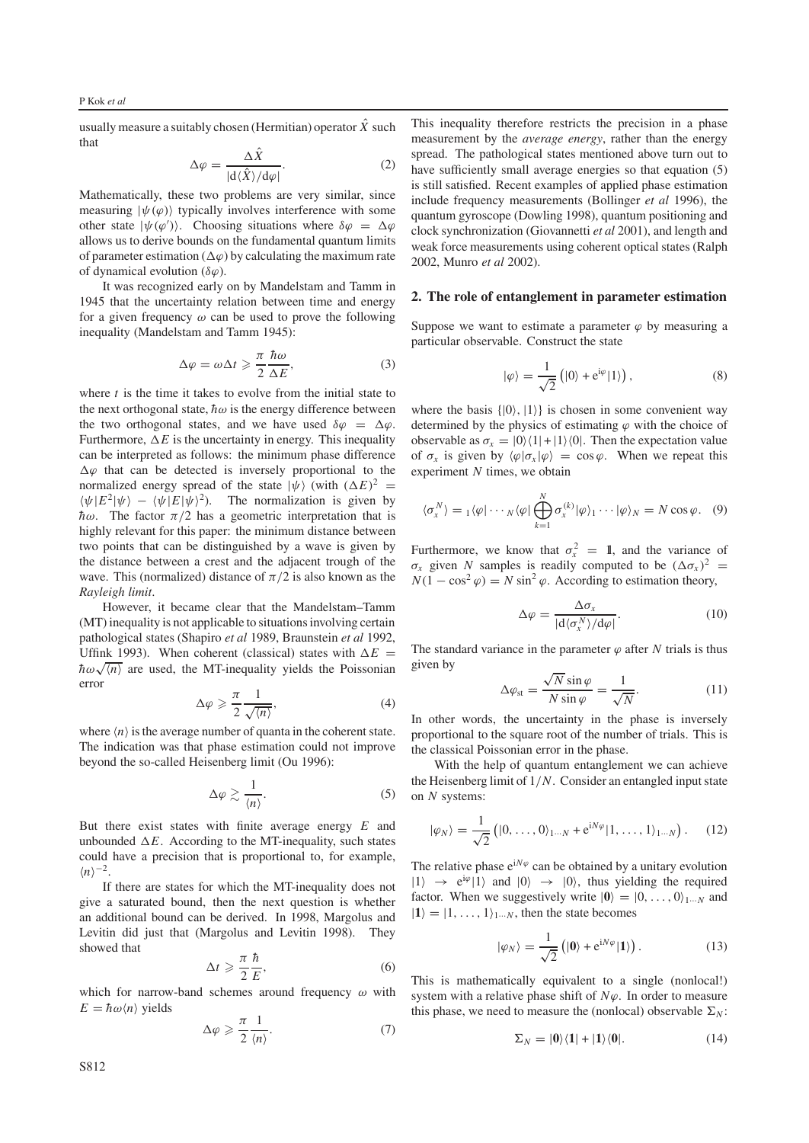usually measure a suitably chosen (Hermitian) operator  $\hat{X}$  such that

$$
\Delta \varphi = \frac{\Delta \hat{X}}{|\mathrm{d}\langle \hat{X} \rangle/\mathrm{d}\varphi|}.\tag{2}
$$

Mathematically, these two problems are very similar, since measuring  $|\psi(\varphi)\rangle$  typically involves interference with some other state  $|\psi(\varphi')\rangle$ . Choosing situations where  $\delta\varphi = \Delta\varphi$ allows us to derive bounds on the fundamental quantum limits of parameter estimation ( $\Delta \varphi$ ) by calculating the maximum rate of dynamical evolution ( $\delta\varphi$ ).

It was recognized early on by Mandelstam and Tamm in 1945 that the uncertainty relation between time and energy for a given frequency  $\omega$  can be used to prove the following inequality (Mandelstam and Tamm 1945):

$$
\Delta \varphi = \omega \Delta t \geqslant \frac{\pi}{2} \frac{\hbar \omega}{\Delta E},\tag{3}
$$

where *t* is the time it takes to evolve from the initial state to the next orthogonal state,  $\hbar \omega$  is the energy difference between the two orthogonal states, and we have used  $\delta \varphi = \Delta \varphi$ . Furthermore,  $\Delta E$  is the uncertainty in energy. This inequality can be interpreted as follows: the minimum phase difference  $\Delta\varphi$  that can be detected is inversely proportional to the normalized energy spread of the state  $|\psi\rangle$  (with  $(\Delta E)^2$  =  $\langle \psi | E^2 | \psi \rangle - \langle \psi | E | \psi \rangle^2$ ). The normalization is given by  $\hbar\omega$ . The factor  $\pi/2$  has a geometric interpretation that is highly relevant for this paper: the minimum distance between two points that can be distinguished by a wave is given by the distance between a crest and the adjacent trough of the wave. This (normalized) distance of  $\pi/2$  is also known as the *Rayleigh limit*.

However, it became clear that the Mandelstam–Tamm (MT) inequality is not applicable to situations involving certain pathological states (Shapiro *et al* 1989, Braunstein *et al* 1992, Uffink 1993). When coherent (classical) states with  $\Delta E =$ UTHING 1995). When conerent (classical) states with  $\Delta E = \hbar \omega \sqrt{\langle n \rangle}$  are used, the MT-inequality yields the Poissonian error

$$
\Delta \varphi \geqslant \frac{\pi}{2} \frac{1}{\sqrt{\langle n \rangle}},\tag{4}
$$

where  $\langle n \rangle$  is the average number of quanta in the coherent state. The indication was that phase estimation could not improve beyond the so-called Heisenberg limit (Ou 1996):

$$
\Delta \varphi \gtrsim \frac{1}{\langle n \rangle}.\tag{5}
$$

But there exist states with finite average energy *E* and unbounded  $\Delta E$ . According to the MT-inequality, such states could have a precision that is proportional to, for example,  $\langle n \rangle^{-2}$ .

If there are states for which the MT-inequality does not give a saturated bound, then the next question is whether an additional bound can be derived. In 1998, Margolus and Levitin did just that (Margolus and Levitin 1998). They showed that

$$
\Delta t \geqslant \frac{\pi}{2} \frac{\hbar}{E},\tag{6}
$$

which for narrow-band schemes around frequency  $\omega$  with  $E = \hbar \omega \langle n \rangle$  yields

$$
\Delta \varphi \geqslant \frac{\pi}{2} \frac{1}{\langle n \rangle}.\tag{7}
$$

This inequality therefore restricts the precision in a phase measurement by the *average energy*, rather than the energy spread. The pathological states mentioned above turn out to have sufficiently small average energies so that equation (5) is still satisfied. Recent examples of applied phase estimation include frequency measurements (Bollinger *et al* 1996), the quantum gyroscope (Dowling 1998), quantum positioning and clock synchronization (Giovannetti *et al* 2001), and length and weak force measurements using coherent optical states (Ralph 2002, Munro *et al* 2002).

#### **2. The role of entanglement in parameter estimation**

Suppose we want to estimate a parameter  $\varphi$  by measuring a particular observable. Construct the state

$$
|\varphi\rangle = \frac{1}{\sqrt{2}} (|0\rangle + e^{i\varphi}|1\rangle), \qquad (8)
$$

where the basis  $\{|0\rangle, |1\rangle\}$  is chosen in some convenient way determined by the physics of estimating  $\varphi$  with the choice of observable as  $\sigma_x = |0\rangle\langle 1| + |1\rangle\langle 0|$ . Then the expectation value of  $\sigma_x$  is given by  $\langle \varphi | \sigma_x | \varphi \rangle = \cos \varphi$ . When we repeat this experiment *N* times, we obtain

$$
\langle \sigma_x^N \rangle = \mathbf{1} \langle \varphi | \cdots \mathbf{N} \langle \varphi | \bigoplus_{k=1}^N \sigma_x^{(k)} | \varphi \rangle_1 \cdots | \varphi \rangle_N = N \cos \varphi. \quad (9)
$$

Furthermore, we know that  $\sigma_x^2 = 1$ , and the variance of  $\sigma_x$  given *N* samples is readily computed to be  $(\Delta \sigma_x)^2$  =  $N(1 - \cos^2 \varphi) = N \sin^2 \varphi$ . According to estimation theory,

$$
\Delta \varphi = \frac{\Delta \sigma_x}{|\mathbf{d}\langle \sigma_x^N \rangle / \mathbf{d}\varphi|}.
$$
 (10)

The standard variance in the parameter  $\varphi$  after *N* trials is thus given by

$$
\Delta \varphi_{\rm st} = \frac{\sqrt{N} \sin \varphi}{N \sin \varphi} = \frac{1}{\sqrt{N}}.
$$
 (11)

In other words, the uncertainty in the phase is inversely proportional to the square root of the number of trials. This is the classical Poissonian error in the phase.

With the help of quantum entanglement we can achieve the Heisenberg limit of 1/*N*. Consider an entangled input state on *N* systems:

$$
|\varphi_N\rangle = \frac{1}{\sqrt{2}} \left( [0, \dots, 0 \rangle_{1 \dots N} + e^{i N \varphi} | 1, \dots, 1 \rangle_{1 \dots N} \right). \tag{12}
$$

The relative phase  $e^{iN\varphi}$  can be obtained by a unitary evolution  $|1\rangle \rightarrow e^{i\varphi}|1\rangle$  and  $|0\rangle \rightarrow |0\rangle$ , thus yielding the required factor. When we suggestively write  $|0\rangle=|0,\ldots,0\rangle_{1\cdots N}$  and  $|1\rangle = |1, \ldots, 1\rangle_{1\cdots N}$ , then the state becomes

$$
|\varphi_N\rangle = \frac{1}{\sqrt{2}} \left( |0\rangle + e^{iN\varphi} |1\rangle \right). \tag{13}
$$

This is mathematically equivalent to a single (nonlocal!) system with a relative phase shift of  $N\varphi$ . In order to measure this phase, we need to measure the (nonlocal) observable  $\Sigma_N$ :

$$
\Sigma_N = |0\rangle\langle 1| + |1\rangle\langle 0|.\tag{14}
$$

S812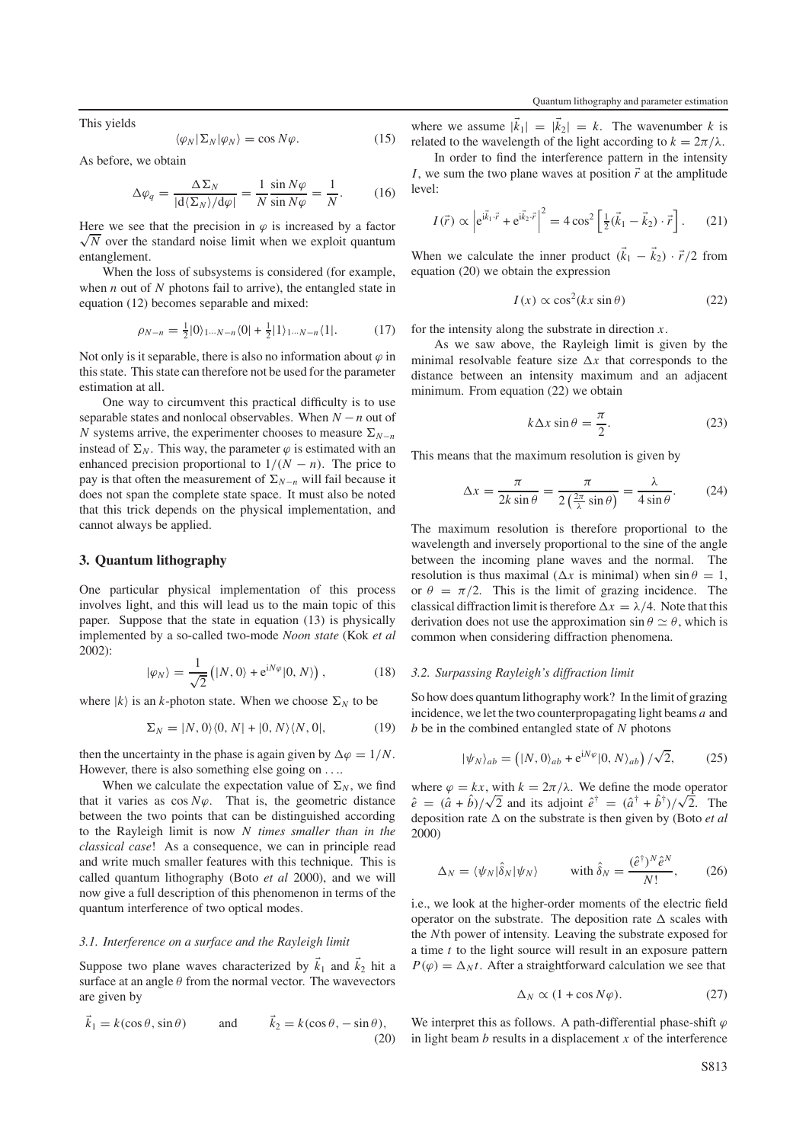This yields

$$
\langle \varphi_N | \Sigma_N | \varphi_N \rangle = \cos N \varphi. \tag{15}
$$

As before, we obtain

$$
\Delta \varphi_q = \frac{\Delta \Sigma_N}{|d \langle \Sigma_N \rangle / d\varphi|} = \frac{1}{N} \frac{\sin N\varphi}{\sin N\varphi} = \frac{1}{N}.
$$
 (16)

Here we see that the precision in  $\varphi$  is increased by a factor  $\sqrt{N}$  over the standard noise limit when we exploit quantum entanglement.

When the loss of subsystems is considered (for example, when *n* out of *N* photons fail to arrive), the entangled state in equation (12) becomes separable and mixed:

$$
\rho_{N-n} = \frac{1}{2}|0\rangle_{1\cdots N-n} \langle 0| + \frac{1}{2}|1\rangle_{1\cdots N-n} \langle 1|.
$$
 (17)

Not only is it separable, there is also no information about  $\varphi$  in this state. This state can therefore not be used for the parameter estimation at all.

One way to circumvent this practical difficulty is to use separable states and nonlocal observables. When *N* −*n* out of *N* systems arrive, the experimenter chooses to measure  $\Sigma_{N-n}$ instead of  $\Sigma_N$ . This way, the parameter  $\varphi$  is estimated with an enhanced precision proportional to  $1/(N - n)$ . The price to pay is that often the measurement of  $\Sigma_{N-n}$  will fail because it does not span the complete state space. It must also be noted that this trick depends on the physical implementation, and cannot always be applied.

#### **3. Quantum lithography**

One particular physical implementation of this process involves light, and this will lead us to the main topic of this paper. Suppose that the state in equation (13) is physically implemented by a so-called two-mode *Noon state* (Kok *et al* 2002):

$$
|\varphi_N\rangle = \frac{1}{\sqrt{2}} (|N, 0\rangle + e^{iN\varphi}|0, N\rangle), \qquad (18)
$$

where  $|k\rangle$  is an *k*-photon state. When we choose  $\Sigma_N$  to be

$$
\Sigma_N = |N, 0\rangle\langle 0, N| + |0, N\rangle\langle N, 0|, \tag{19}
$$

then the uncertainty in the phase is again given by  $\Delta \varphi = 1/N$ . However, there is also something else going on ....

When we calculate the expectation value of  $\Sigma_N$ , we find that it varies as  $\cos N\varphi$ . That is, the geometric distance between the two points that can be distinguished according to the Rayleigh limit is now *N times smaller than in the classical case*! As a consequence, we can in principle read and write much smaller features with this technique. This is called quantum lithography (Boto *et al* 2000), and we will now give a full description of this phenomenon in terms of the quantum interference of two optical modes.

## *3.1. Interference on a surface and the Rayleigh limit*

Suppose two plane waves characterized by  $\vec{k}_1$  and  $\vec{k}_2$  hit a surface at an angle  $\theta$  from the normal vector. The wavevectors are given by

$$
\vec{k}_1 = k(\cos \theta, \sin \theta)
$$
 and  $\vec{k}_2 = k(\cos \theta, -\sin \theta)$ , (20)

where we assume  $|\vec{k}_1| = |\vec{k}_2| = k$ . The wavenumber *k* is related to the wavelength of the light according to  $k = 2\pi/\lambda$ .

In order to find the interference pattern in the intensity *I*, we sum the two plane waves at position  $\vec{r}$  at the amplitude level:

$$
I(\vec{r}) \propto \left| e^{i\vec{k}_1 \cdot \vec{r}} + e^{i\vec{k}_2 \cdot \vec{r}} \right|^2 = 4 \cos^2 \left[ \frac{1}{2} (\vec{k}_1 - \vec{k}_2) \cdot \vec{r} \right].
$$
 (21)

When we calculate the inner product  $(\vec{k}_1 - \vec{k}_2) \cdot \vec{r}/2$  from equation (20) we obtain the expression

$$
I(x) \propto \cos^2(kx \sin \theta) \tag{22}
$$

for the intensity along the substrate in direction *x*.

As we saw above, the Rayleigh limit is given by the minimal resolvable feature size  $\Delta x$  that corresponds to the distance between an intensity maximum and an adjacent minimum. From equation (22) we obtain

$$
k\Delta x \sin \theta = \frac{\pi}{2}.
$$
 (23)

This means that the maximum resolution is given by

$$
\Delta x = \frac{\pi}{2k \sin \theta} = \frac{\pi}{2\left(\frac{2\pi}{\lambda}\sin \theta\right)} = \frac{\lambda}{4\sin \theta}.
$$
 (24)

The maximum resolution is therefore proportional to the wavelength and inversely proportional to the sine of the angle between the incoming plane waves and the normal. The resolution is thus maximal ( $\Delta x$  is minimal) when  $\sin \theta = 1$ , or  $\theta = \pi/2$ . This is the limit of grazing incidence. The classical diffraction limit is therefore  $\Delta x = \lambda/4$ . Note that this derivation does not use the approximation  $\sin \theta \simeq \theta$ , which is common when considering diffraction phenomena.

#### *3.2. Surpassing Rayleigh's diffraction limit*

So how does quantum lithography work? In the limit of grazing incidence, we let the two counterpropagating light beams *a* and *b* be in the combined entangled state of *N* photons

$$
|\psi_N\rangle_{ab} = (|N, 0\rangle_{ab} + e^{iN\varphi}|0, N\rangle_{ab}) / \sqrt{2}, \qquad (25)
$$

where  $\varphi = kx$ , with  $k = 2\pi/\lambda$ . We define the mode operator where  $\varphi = kx$ , with  $k = 2\pi/\lambda$ . We define the mode operator  $\hat{e} = (\hat{a} + \hat{b})/\sqrt{2}$  and its adjoint  $\hat{e}^{\dagger} = (\hat{a}^{\dagger} + \hat{b}^{\dagger})/\sqrt{2}$ . The deposition rate  $\Delta$  on the substrate is then given by (Boto *et al*) 2000)

$$
\Delta_N = \langle \psi_N | \hat{\delta}_N | \psi_N \rangle \qquad \text{with } \hat{\delta}_N = \frac{(\hat{e}^\dagger)^N \hat{e}^N}{N!}, \qquad (26)
$$

i.e., we look at the higher-order moments of the electric field operator on the substrate. The deposition rate  $\Delta$  scales with the *N*th power of intensity. Leaving the substrate exposed for a time *t* to the light source will result in an exposure pattern  $P(\varphi) = \Delta_N t$ . After a straightforward calculation we see that

$$
\Delta_N \propto (1 + \cos N\varphi). \tag{27}
$$

We interpret this as follows. A path-differential phase-shift  $\varphi$ in light beam  $b$  results in a displacement  $x$  of the interference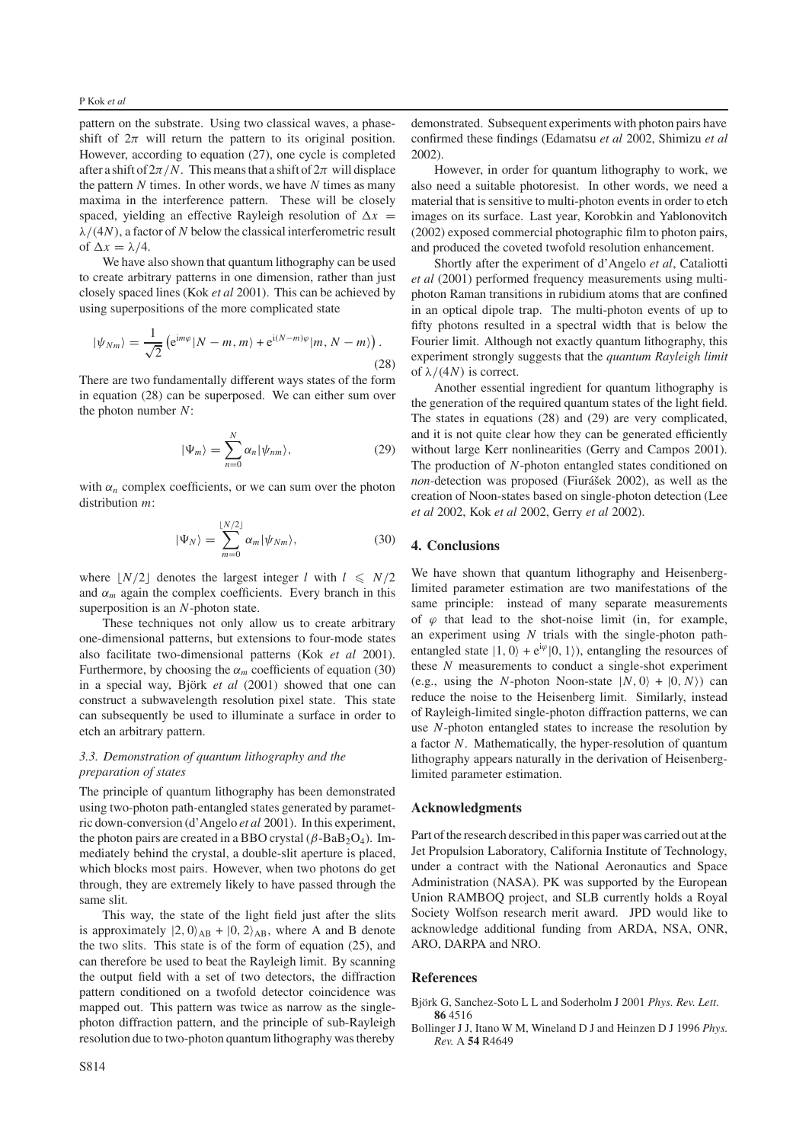pattern on the substrate. Using two classical waves, a phaseshift of  $2\pi$  will return the pattern to its original position. However, according to equation (27), one cycle is completed after a shift of  $2\pi/N$ . This means that a shift of  $2\pi$  will displace the pattern *N* times. In other words, we have *N* times as many maxima in the interference pattern. These will be closely spaced, yielding an effective Rayleigh resolution of  $\Delta x$  =  $\lambda/(4N)$ , a factor of N below the classical interferometric result of  $\Delta x = \lambda/4$ .

We have also shown that quantum lithography can be used to create arbitrary patterns in one dimension, rather than just closely spaced lines (Kok *et al* 2001). This can be achieved by using superpositions of the more complicated state

$$
|\psi_{Nm}\rangle = \frac{1}{\sqrt{2}} \left( e^{im\varphi} |N - m, m\rangle + e^{i(N-m)\varphi} |m, N - m\rangle \right). \tag{28}
$$

There are two fundamentally different ways states of the form in equation (28) can be superposed. We can either sum over the photon number *N*:

$$
|\Psi_m\rangle = \sum_{n=0}^{N} \alpha_n |\psi_{nm}\rangle, \qquad (29)
$$

with  $\alpha_n$  complex coefficients, or we can sum over the photon distribution *m*:

$$
|\Psi_N\rangle = \sum_{m=0}^{\lfloor N/2 \rfloor} \alpha_m |\psi_{Nm}\rangle, \tag{30}
$$

where  $\lfloor N/2 \rfloor$  denotes the largest integer *l* with  $l \le N/2$ and  $\alpha_m$  again the complex coefficients. Every branch in this superposition is an *N*-photon state.

These techniques not only allow us to create arbitrary one-dimensional patterns, but extensions to four-mode states also facilitate two-dimensional patterns (Kok *et al* 2001). Furthermore, by choosing the  $\alpha_m$  coefficients of equation (30) in a special way, Björk et al (2001) showed that one can construct a subwavelength resolution pixel state. This state can subsequently be used to illuminate a surface in order to etch an arbitrary pattern.

## *3.3. Demonstration of quantum lithography and the preparation of states*

The principle of quantum lithography has been demonstrated using two-photon path-entangled states generated by parametric down-conversion (d'Angelo *et al* 2001). In this experiment, the photon pairs are created in a BBO crystal ( $\beta$ -BaB<sub>2</sub>O<sub>4</sub>). Immediately behind the crystal, a double-slit aperture is placed, which blocks most pairs. However, when two photons do get through, they are extremely likely to have passed through the same slit.

This way, the state of the light field just after the slits is approximately  $|2, 0\rangle_{AB} + |0, 2\rangle_{AB}$ , where A and B denote the two slits. This state is of the form of equation (25), and can therefore be used to beat the Rayleigh limit. By scanning the output field with a set of two detectors, the diffraction pattern conditioned on a twofold detector coincidence was mapped out. This pattern was twice as narrow as the singlephoton diffraction pattern, and the principle of sub-Rayleigh resolution due to two-photon quantum lithography was thereby

demonstrated. Subsequent experiments with photon pairs have confirmed these findings (Edamatsu *et al* 2002, Shimizu *et al* 2002).

However, in order for quantum lithography to work, we also need a suitable photoresist. In other words, we need a material that is sensitive to multi-photon events in order to etch images on its surface. Last year, Korobkin and Yablonovitch (2002) exposed commercial photographic film to photon pairs, and produced the coveted twofold resolution enhancement.

Shortly after the experiment of d'Angelo *et al*, Cataliotti *et al* (2001) performed frequency measurements using multiphoton Raman transitions in rubidium atoms that are confined in an optical dipole trap. The multi-photon events of up to fifty photons resulted in a spectral width that is below the Fourier limit. Although not exactly quantum lithography, this experiment strongly suggests that the *quantum Rayleigh limit* of  $\lambda/(4N)$  is correct.

Another essential ingredient for quantum lithography is the generation of the required quantum states of the light field. The states in equations (28) and (29) are very complicated, and it is not quite clear how they can be generated efficiently without large Kerr nonlinearities (Gerry and Campos 2001). The production of *N*-photon entangled states conditioned on *non*-detection was proposed (Fiurášek 2002), as well as the creation of Noon-states based on single-photon detection (Lee *et al* 2002, Kok *et al* 2002, Gerry *et al* 2002).

#### **4. Conclusions**

We have shown that quantum lithography and Heisenberglimited parameter estimation are two manifestations of the same principle: instead of many separate measurements of  $\varphi$  that lead to the shot-noise limit (in, for example, an experiment using *N* trials with the single-photon pathentangled state  $|1, 0\rangle + e^{i\varphi}|0, 1\rangle$ , entangling the resources of these *N* measurements to conduct a single-shot experiment (e.g., using the *N*-photon Noon-state  $|N, 0\rangle + |0, N\rangle$ ) can reduce the noise to the Heisenberg limit. Similarly, instead of Rayleigh-limited single-photon diffraction patterns, we can use *N*-photon entangled states to increase the resolution by a factor *N*. Mathematically, the hyper-resolution of quantum lithography appears naturally in the derivation of Heisenberglimited parameter estimation.

#### **Acknowledgments**

Part of the research described in this paper was carried out at the Jet Propulsion Laboratory, California Institute of Technology, under a contract with the National Aeronautics and Space Administration (NASA). PK was supported by the European Union RAMBOQ project, and SLB currently holds a Royal Society Wolfson research merit award. JPD would like to acknowledge additional funding from ARDA, NSA, ONR, ARO, DARPA and NRO.

#### **References**

- Björk G, Sanchez-Soto L L and Soderholm J 2001 Phys. Rev. Lett. **86** 4516
- Bollinger J J, Itano W M, Wineland D J and Heinzen D J 1996 *Phys. Rev.* A **54** R4649